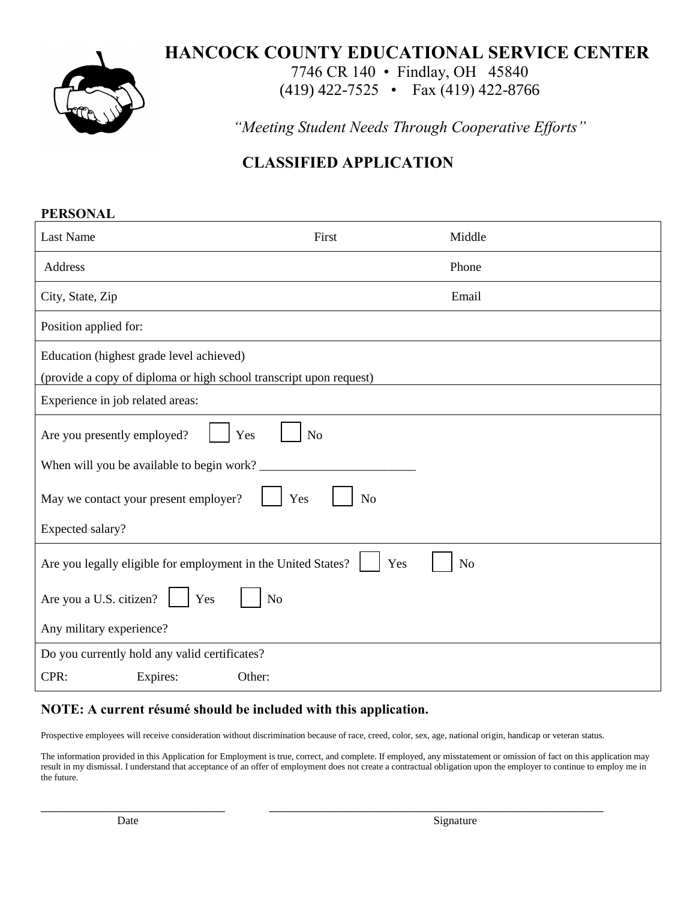

## **HANCOCK COUNTY EDUCATIONAL SERVICE CENTER**

7746 CR 140 • Findlay, OH 45840

(419) 422-7525 • Fax (419) 422-8766

*"Meeting Student Needs Through Cooperative Efforts"*

# **CLASSIFIED APPLICATION**

| <b>PERSONAL</b>                                                    |                       |                |  |  |
|--------------------------------------------------------------------|-----------------------|----------------|--|--|
| <b>Last Name</b>                                                   | First                 | Middle         |  |  |
| Address                                                            |                       | Phone          |  |  |
| City, State, Zip                                                   |                       | Email          |  |  |
| Position applied for:                                              |                       |                |  |  |
| Education (highest grade level achieved)                           |                       |                |  |  |
| (provide a copy of diploma or high school transcript upon request) |                       |                |  |  |
| Experience in job related areas:                                   |                       |                |  |  |
| Are you presently employed?                                        | Yes<br>N <sub>o</sub> |                |  |  |
| When will you be available to begin work?                          |                       |                |  |  |
| May we contact your present employer?                              | Yes<br>No             |                |  |  |
| Expected salary?                                                   |                       |                |  |  |
| Are you legally eligible for employment in the United States?      | Yes                   | N <sub>o</sub> |  |  |
| Are you a U.S. citizen?<br>Yes                                     | N <sub>o</sub>        |                |  |  |
| Any military experience?                                           |                       |                |  |  |
| Do you currently hold any valid certificates?                      |                       |                |  |  |
| CPR:<br>Expires:                                                   | Other:                |                |  |  |

#### **NOTE: A current résumé should be included with this application.**

Prospective employees will receive consideration without discrimination because of race, creed, color, sex, age, national origin, handicap or veteran status.

\_\_\_\_\_\_\_\_\_\_\_\_\_\_\_\_\_\_\_\_\_\_\_\_\_\_\_ \_\_\_\_\_\_\_\_\_\_\_\_\_\_\_\_\_\_\_\_\_\_\_\_\_\_\_\_\_\_\_\_\_\_\_\_\_\_\_\_\_\_\_\_\_\_\_\_\_

The information provided in this Application for Employment is true, correct, and complete. If employed, any misstatement or omission of fact on this application may result in my dismissal. I understand that acceptance of an offer of employment does not create a contractual obligation upon the employer to continue to employ me in the future.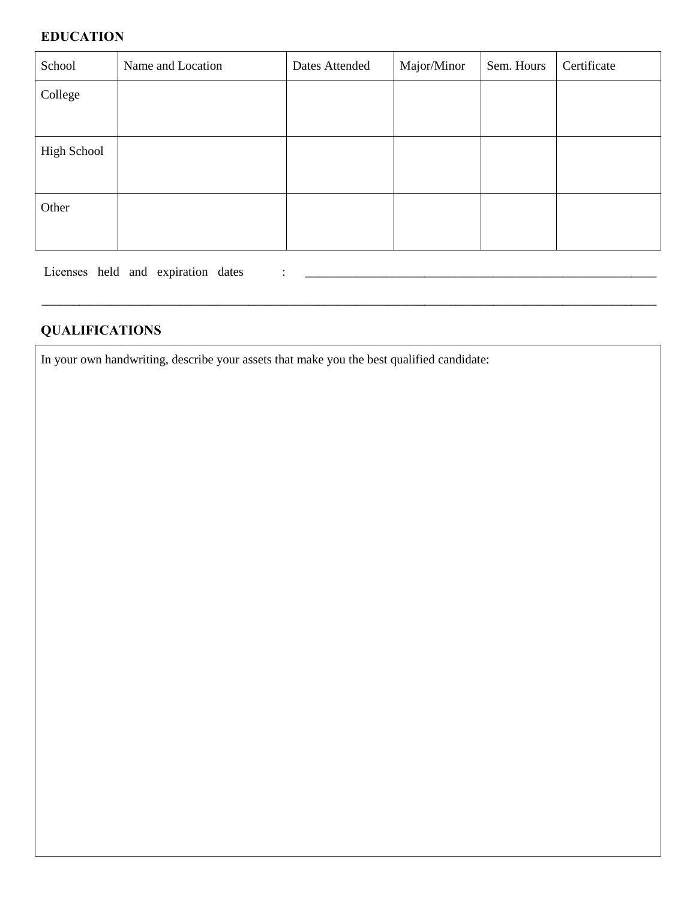#### **EDUCATION**

| School      | Name and Location | Dates Attended | Major/Minor | Sem. Hours | Certificate |
|-------------|-------------------|----------------|-------------|------------|-------------|
| College     |                   |                |             |            |             |
|             |                   |                |             |            |             |
| High School |                   |                |             |            |             |
|             |                   |                |             |            |             |
| Other       |                   |                |             |            |             |
|             |                   |                |             |            |             |

\_\_\_\_\_\_\_\_\_\_\_\_\_\_\_\_\_\_\_\_\_\_\_\_\_\_\_\_\_\_\_\_\_\_\_\_\_\_\_\_\_\_\_\_\_\_\_\_\_\_\_\_\_\_\_\_\_\_\_\_\_\_\_\_\_\_\_\_\_\_\_\_\_\_\_\_\_\_\_\_\_\_\_\_\_\_\_\_\_\_\_\_\_\_\_\_\_\_

Licenses held and expiration dates : \_\_\_\_\_\_\_\_\_\_\_\_\_\_\_\_\_\_\_\_\_\_\_\_\_\_\_\_\_\_\_\_\_\_\_\_\_\_\_\_\_\_\_\_\_\_\_\_\_\_\_\_\_\_\_\_

### **QUALIFICATIONS**

In your own handwriting, describe your assets that make you the best qualified candidate: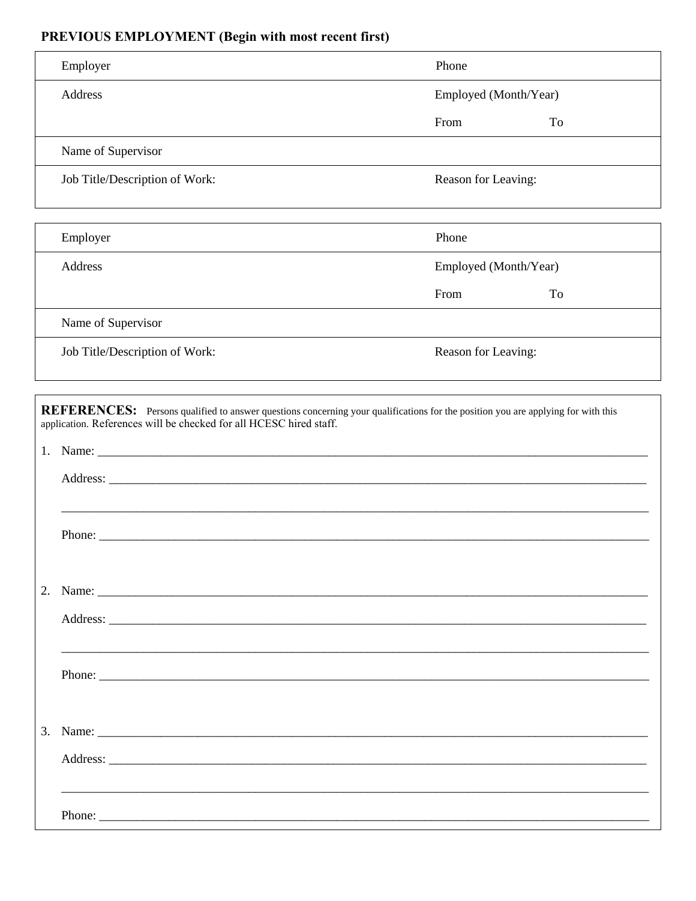## PREVIOUS EMPLOYMENT (Begin with most recent first)

| Employer                                                                                                                                                                                                                                                                                                           | Phone                 |    |
|--------------------------------------------------------------------------------------------------------------------------------------------------------------------------------------------------------------------------------------------------------------------------------------------------------------------|-----------------------|----|
| Address                                                                                                                                                                                                                                                                                                            | Employed (Month/Year) |    |
|                                                                                                                                                                                                                                                                                                                    | From                  | To |
| Name of Supervisor                                                                                                                                                                                                                                                                                                 |                       |    |
| Job Title/Description of Work:                                                                                                                                                                                                                                                                                     | Reason for Leaving:   |    |
| Employer                                                                                                                                                                                                                                                                                                           | Phone                 |    |
| Address                                                                                                                                                                                                                                                                                                            | Employed (Month/Year) |    |
|                                                                                                                                                                                                                                                                                                                    | From                  | To |
| Name of Supervisor                                                                                                                                                                                                                                                                                                 |                       |    |
| Job Title/Description of Work:                                                                                                                                                                                                                                                                                     | Reason for Leaving:   |    |
|                                                                                                                                                                                                                                                                                                                    |                       |    |
| REFERENCES: Persons qualified to answer questions concerning your qualifications for the position you are applying for with this                                                                                                                                                                                   |                       |    |
|                                                                                                                                                                                                                                                                                                                    |                       |    |
|                                                                                                                                                                                                                                                                                                                    |                       |    |
|                                                                                                                                                                                                                                                                                                                    |                       |    |
| ,我们也不能在这里的人,我们也不能在这里的人,我们也不能在这里的人,我们也不能在这里的人,我们也不能在这里的人,我们也不能在这里的人,我们也不能在这里的人,我们也                                                                                                                                                                                                                                  |                       |    |
|                                                                                                                                                                                                                                                                                                                    |                       |    |
|                                                                                                                                                                                                                                                                                                                    |                       |    |
|                                                                                                                                                                                                                                                                                                                    |                       |    |
|                                                                                                                                                                                                                                                                                                                    |                       |    |
|                                                                                                                                                                                                                                                                                                                    |                       |    |
| application. References will be checked for all HCESC hired staff.<br>1.                                                                                                                                                                                                                                           |                       |    |
|                                                                                                                                                                                                                                                                                                                    |                       |    |
|                                                                                                                                                                                                                                                                                                                    |                       |    |
| 3. Name: $\frac{1}{2}$ $\frac{1}{2}$ $\frac{1}{2}$ $\frac{1}{2}$ $\frac{1}{2}$ $\frac{1}{2}$ $\frac{1}{2}$ $\frac{1}{2}$ $\frac{1}{2}$ $\frac{1}{2}$ $\frac{1}{2}$ $\frac{1}{2}$ $\frac{1}{2}$ $\frac{1}{2}$ $\frac{1}{2}$ $\frac{1}{2}$ $\frac{1}{2}$ $\frac{1}{2}$ $\frac{1}{2}$ $\frac{1}{2}$ $\frac{1}{2}$ $\$ |                       |    |
|                                                                                                                                                                                                                                                                                                                    |                       |    |
| <u>,这就是这个人的人,我们就是这个人的人,我们就是这个人的人,我们就是这个人的人,我们就是这个人的人,我们就是这个人的人,我们就是这个人的人,我们就是</u>                                                                                                                                                                                                                                  |                       |    |